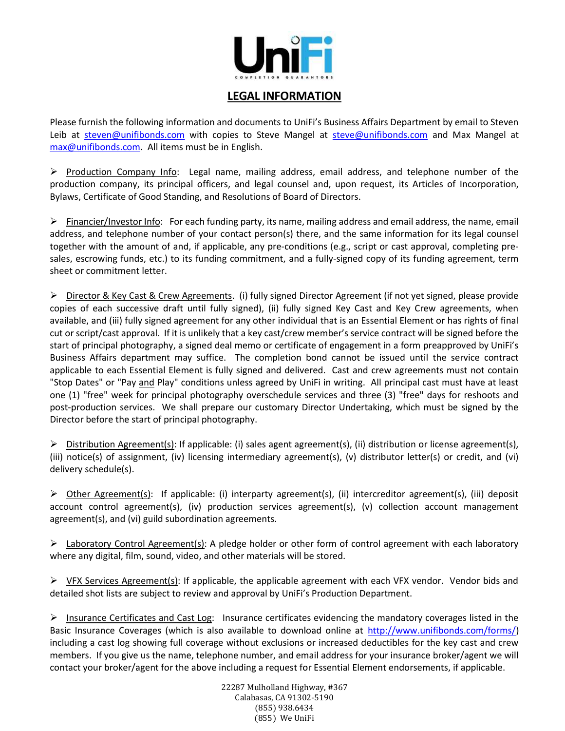

## LEGAL INFORMATION

Please furnish the following information and documents to UniFi's Business Affairs Department by email to Steven Leib at steven@unifibonds.com with copies to Steve Mangel at steve@unifibonds.com and Max Mangel at max@unifibonds.com. All items must be in English.

 $\triangleright$  Production Company Info: Legal name, mailing address, email address, and telephone number of the production company, its principal officers, and legal counsel and, upon request, its Articles of Incorporation, Bylaws, Certificate of Good Standing, and Resolutions of Board of Directors.

 $\triangleright$  Financier/Investor Info: For each funding party, its name, mailing address and email address, the name, email address, and telephone number of your contact person(s) there, and the same information for its legal counsel together with the amount of and, if applicable, any pre-conditions (e.g., script or cast approval, completing presales, escrowing funds, etc.) to its funding commitment, and a fully-signed copy of its funding agreement, term sheet or commitment letter.

> Director & Key Cast & Crew Agreements. (i) fully signed Director Agreement (if not yet signed, please provide copies of each successive draft until fully signed), (ii) fully signed Key Cast and Key Crew agreements, when available, and (iii) fully signed agreement for any other individual that is an Essential Element or has rights of final cut or script/cast approval. If it is unlikely that a key cast/crew member's service contract will be signed before the start of principal photography, a signed deal memo or certificate of engagement in a form preapproved by UniFi's Business Affairs department may suffice. The completion bond cannot be issued until the service contract applicable to each Essential Element is fully signed and delivered. Cast and crew agreements must not contain "Stop Dates" or "Pay and Play" conditions unless agreed by UniFi in writing. All principal cast must have at least one (1) "free" week for principal photography overschedule services and three (3) "free" days for reshoots and post-production services. We shall prepare our customary Director Undertaking, which must be signed by the Director before the start of principal photography.

 $\triangleright$  Distribution Agreement(s): If applicable: (i) sales agent agreement(s), (ii) distribution or license agreement(s), (iii) notice(s) of assignment, (iv) licensing intermediary agreement(s), (v) distributor letter(s) or credit, and (vi) delivery schedule(s).

 $\triangleright$  Other Agreement(s): If applicable: (i) interparty agreement(s), (ii) intercreditor agreement(s), (iii) deposit account control agreement(s), (iv) production services agreement(s), (v) collection account management agreement(s), and (vi) guild subordination agreements.

 $\triangleright$  Laboratory Control Agreement(s): A pledge holder or other form of control agreement with each laboratory where any digital, film, sound, video, and other materials will be stored.

 $\triangleright$  <u>VFX Services Agreement(s)</u>: If applicable, the applicable agreement with each VFX vendor. Vendor bids and detailed shot lists are subject to review and approval by UniFi's Production Department.

 $\triangleright$  Insurance Certificates and Cast Log: Insurance certificates evidencing the mandatory coverages listed in the Basic Insurance Coverages (which is also available to download online at http://www.unifibonds.com/forms/) including a cast log showing full coverage without exclusions or increased deductibles for the key cast and crew members. If you give us the name, telephone number, and email address for your insurance broker/agent we will contact your broker/agent for the above including a request for Essential Element endorsements, if applicable.

> 22287 Mulholland Highway, #367 Calabasas, CA 91302-5190 (855) 938.6434 (855) We UniFi